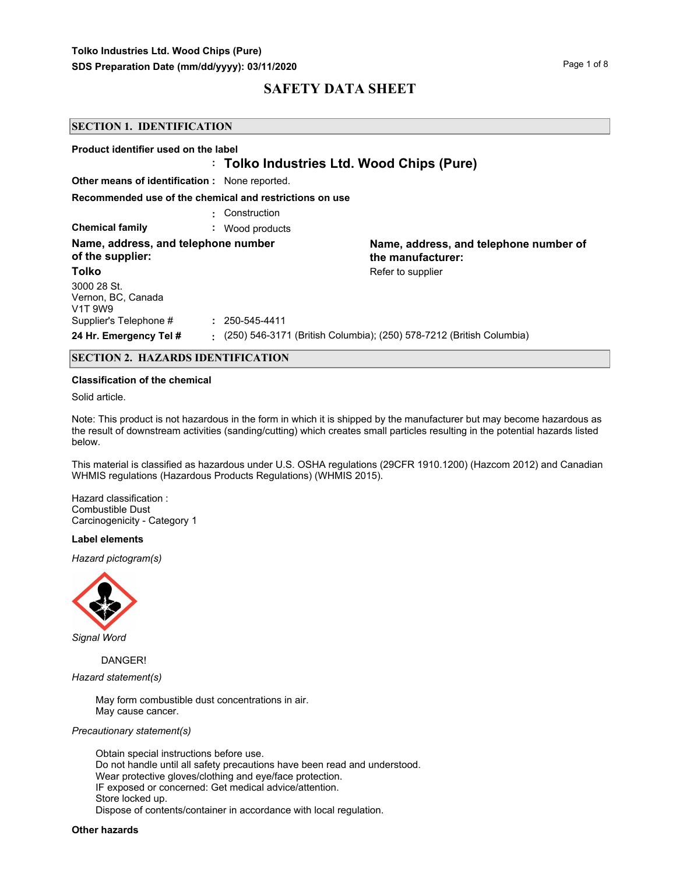| <b>SECTION 1. IDENTIFICATION</b>                                      |                                           |                                                                        |  |  |
|-----------------------------------------------------------------------|-------------------------------------------|------------------------------------------------------------------------|--|--|
| Product identifier used on the label                                  | : Tolko Industries Ltd. Wood Chips (Pure) |                                                                        |  |  |
| <b>Other means of identification:</b> None reported.                  |                                           |                                                                        |  |  |
| Recommended use of the chemical and restrictions on use               |                                           |                                                                        |  |  |
|                                                                       | Construction                              |                                                                        |  |  |
| <b>Chemical family</b>                                                | Wood products<br>÷.                       |                                                                        |  |  |
| Name, address, and telephone number<br>of the supplier:               |                                           | Name, address, and telephone number of<br>the manufacturer:            |  |  |
| Tolko                                                                 |                                           | Refer to supplier                                                      |  |  |
| 3000 28 St.<br>Vernon, BC, Canada<br>V <sub>1</sub> T 9W <sub>9</sub> |                                           |                                                                        |  |  |
| Supplier's Telephone #                                                | $: 250 - 545 - 4411$                      |                                                                        |  |  |
| 24 Hr. Emergency Tel #                                                |                                           | : (250) 546-3171 (British Columbia); (250) 578-7212 (British Columbia) |  |  |

### **SECTION 2. HAZARDS IDENTIFICATION**

#### **Classification of the chemical**

Solid article.

Note: This product is not hazardous in the form in which it is shipped by the manufacturer but may become hazardous as the result of downstream activities (sanding/cutting) which creates small particles resulting in the potential hazards listed below.

This material is classified as hazardous under U.S. OSHA regulations (29CFR 1910.1200) (Hazcom 2012) and Canadian WHMIS regulations (Hazardous Products Regulations) (WHMIS 2015).

Hazard classification : Combustible Dust Carcinogenicity - Category 1

#### **Label elements**

*Hazard pictogram(s)*



*Signal Word*

DANGER!

*Hazard statement(s)*

May form combustible dust concentrations in air. May cause cancer.

#### *Precautionary statement(s)*

Obtain special instructions before use. Do not handle until all safety precautions have been read and understood. Wear protective gloves/clothing and eye/face protection. IF exposed or concerned: Get medical advice/attention. Store locked up. Dispose of contents/container in accordance with local regulation.

#### **Other hazards**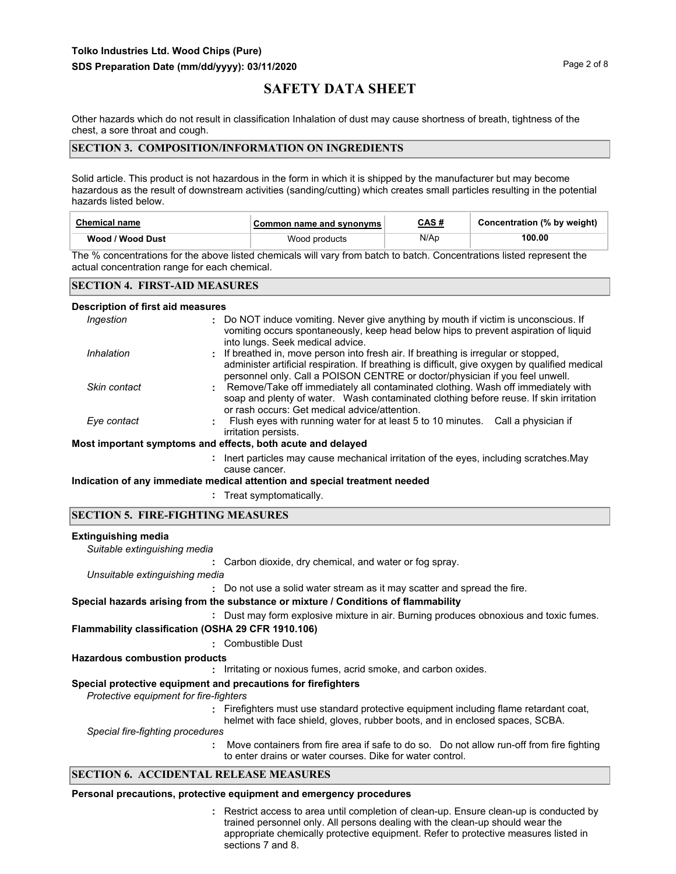Other hazards which do not result in classification Inhalation of dust may cause shortness of breath, tightness of the chest, a sore throat and cough.

### **SECTION 3. COMPOSITION/INFORMATION ON INGREDIENTS**

Solid article. This product is not hazardous in the form in which it is shipped by the manufacturer but may become hazardous as the result of downstream activities (sanding/cutting) which creates small particles resulting in the potential hazards listed below.

| <b>Chemical name</b> | Common name and synonyms | CAS # | Concentration (% by weight) |
|----------------------|--------------------------|-------|-----------------------------|
| Wood / Wood Dust     | Wood products            | N/Ap  | 100.00                      |

The % concentrations for the above listed chemicals will vary from batch to batch. Concentrations listed represent the actual concentration range for each chemical.

### **SECTION 4. FIRST-AID MEASURES**

#### **Description of first aid measures**

| Ingestion    | : Do NOT induce vomiting. Never give anything by mouth if victim is unconscious. If<br>vomiting occurs spontaneously, keep head below hips to prevent aspiration of liquid<br>into lungs. Seek medical advice.                                                        |
|--------------|-----------------------------------------------------------------------------------------------------------------------------------------------------------------------------------------------------------------------------------------------------------------------|
| Inhalation   | : If breathed in, move person into fresh air. If breathing is irregular or stopped,<br>administer artificial respiration. If breathing is difficult, give oxygen by qualified medical<br>personnel only. Call a POISON CENTRE or doctor/physician if you feel unwell. |
| Skin contact | : Remove/Take off immediately all contaminated clothing. Wash off immediately with<br>soap and plenty of water. Wash contaminated clothing before reuse. If skin irritation<br>or rash occurs: Get medical advice/attention.                                          |
| Eye contact  | Flush eyes with running water for at least 5 to 10 minutes. Call a physician if<br>irritation persists.                                                                                                                                                               |
|              | Most important symptoms and effects, both acute and delayed                                                                                                                                                                                                           |
|              | : Inert particles may cause mechanical irritation of the eyes, including scratches. May                                                                                                                                                                               |

# cause cancer.

**Indication of any immediate medical attention and special treatment needed**

**:** Treat symptomatically.

### **SECTION 5. FIRE-FIGHTING MEASURES**

#### **Extinguishing media**

**:** Carbon dioxide, dry chemical, and water or fog spray. *Suitable extinguishing media*

*Unsuitable extinguishing media*

**:** Do not use a solid water stream as it may scatter and spread the fire.

### **Special hazards arising from the substance or mixture / Conditions of flammability**

**:** Dust may form explosive mixture in air. Burning produces obnoxious and toxic fumes.

**Flammability classification (OSHA 29 CFR 1910.106)**

**:** Combustible Dust

### **Hazardous combustion products**

**:** Irritating or noxious fumes, acrid smoke, and carbon oxides.

### **Special protective equipment and precautions for firefighters**

*Protective equipment for fire-fighters*

**:** Firefighters must use standard protective equipment including flame retardant coat, helmet with face shield, gloves, rubber boots, and in enclosed spaces, SCBA.

*Special fire-fighting procedures*

**:** Move containers from fire area if safe to do so. Do not allow run-off from fire fighting to enter drains or water courses. Dike for water control.

### **SECTION 6. ACCIDENTAL RELEASE MEASURES**

#### **Personal precautions, protective equipment and emergency procedures**

Restrict access to area until completion of clean-up. Ensure clean-up is conducted by **:** trained personnel only. All persons dealing with the clean-up should wear the appropriate chemically protective equipment. Refer to protective measures listed in sections 7 and 8.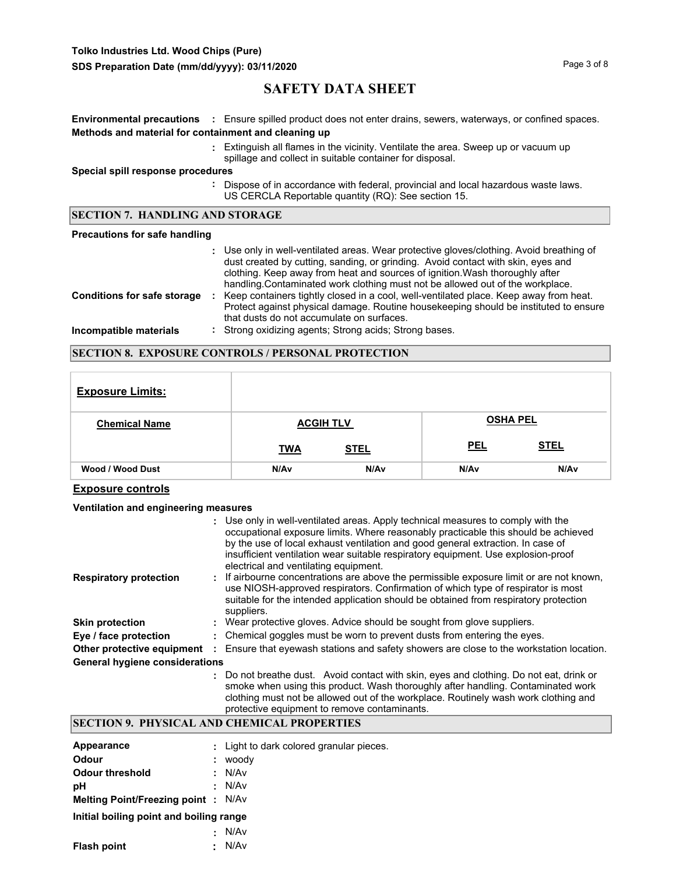# **Tolko Industries Ltd. Wood Chips (Pure)**

# **SAFETY DATA SHEET**

|                                                      | Environmental precautions : Ensure spilled product does not enter drains, sewers, waterways, or confined spaces.                                                                                                                                                                                                                               |
|------------------------------------------------------|------------------------------------------------------------------------------------------------------------------------------------------------------------------------------------------------------------------------------------------------------------------------------------------------------------------------------------------------|
| Methods and material for containment and cleaning up |                                                                                                                                                                                                                                                                                                                                                |
|                                                      | : Extinguish all flames in the vicinity. Ventilate the area. Sweep up or vacuum up<br>spillage and collect in suitable container for disposal.                                                                                                                                                                                                 |
| Special spill response procedures                    |                                                                                                                                                                                                                                                                                                                                                |
|                                                      | : Dispose of in accordance with federal, provincial and local hazardous waste laws.<br>US CERCLA Reportable quantity (RQ): See section 15.                                                                                                                                                                                                     |
| <b>SECTION 7. HANDLING AND STORAGE</b>               |                                                                                                                                                                                                                                                                                                                                                |
| Precautions for safe handling                        |                                                                                                                                                                                                                                                                                                                                                |
|                                                      | : Use only in well-ventilated areas. Wear protective gloves/clothing. Avoid breathing of<br>dust created by cutting, sanding, or grinding. Avoid contact with skin, eyes and<br>clothing. Keep away from heat and sources of ignition. Wash thoroughly after<br>handling. Contaminated work clothing must not be allowed out of the workplace. |
| <b>Conditions for safe storage</b>                   | Keep containers tightly closed in a cool, well-ventilated place. Keep away from heat.<br>÷.<br>Protect against physical damage. Routine housekeeping should be instituted to ensure<br>that dusts do not accumulate on surfaces.                                                                                                               |
| Incompatible materials                               | Strong oxidizing agents; Strong acids; Strong bases.                                                                                                                                                                                                                                                                                           |

### **SECTION 8. EXPOSURE CONTROLS / PERSONAL PROTECTION**

| <b>Exposure Limits:</b> |                  |                  |            |                 |
|-------------------------|------------------|------------------|------------|-----------------|
| <b>Chemical Name</b>    |                  | <b>ACGIH TLV</b> |            | <b>OSHA PEL</b> |
|                         | <b>TWA</b>       | <b>STEL</b>      | <b>PEL</b> | <b>STEL</b>     |
| Wood / Wood Dust        | N/A <sub>v</sub> | N/A <sub>v</sub> | N/Av       | N/Av            |

### **Exposure controls**

### **Ventilation and engineering measures**

|                                       | : Use only in well-ventilated areas. Apply technical measures to comply with the<br>occupational exposure limits. Where reasonably practicable this should be achieved<br>by the use of local exhaust ventilation and good general extraction. In case of<br>insufficient ventilation wear suitable respiratory equipment. Use explosion-proof<br>electrical and ventilating equipment. |
|---------------------------------------|-----------------------------------------------------------------------------------------------------------------------------------------------------------------------------------------------------------------------------------------------------------------------------------------------------------------------------------------------------------------------------------------|
| <b>Respiratory protection</b>         | : If airbourne concentrations are above the permissible exposure limit or are not known,<br>use NIOSH-approved respirators. Confirmation of which type of respirator is most<br>suitable for the intended application should be obtained from respiratory protection<br>suppliers.                                                                                                      |
| <b>Skin protection</b>                | : Wear protective gloves. Advice should be sought from glove suppliers.                                                                                                                                                                                                                                                                                                                 |
| Eye / face protection                 | : Chemical goggles must be worn to prevent dusts from entering the eyes.                                                                                                                                                                                                                                                                                                                |
| Other protective equipment            | Ensure that eyewash stations and safety showers are close to the workstation location.                                                                                                                                                                                                                                                                                                  |
| <b>General hygiene considerations</b> |                                                                                                                                                                                                                                                                                                                                                                                         |
|                                       | : Do not breathe dust. Avoid contact with skin, eyes and clothing. Do not eat, drink or<br>smoke when using this product. Wash thoroughly after handling. Contaminated work                                                                                                                                                                                                             |

clothing must not be allowed out of the workplace. Routinely wash work clothing and protective equipment to remove contaminants.

# **SECTION 9. PHYSICAL AND CHEMICAL PROPERTIES**

| Appearance<br>Odour                       | ÷ | : Light to dark colored granular pieces.<br>woody |
|-------------------------------------------|---|---------------------------------------------------|
| <b>Odour threshold</b>                    |   | : N/Av                                            |
| pН                                        |   | : N/Av                                            |
| <b>Melting Point/Freezing point: N/Av</b> |   |                                                   |
| Initial boiling point and boiling range   |   |                                                   |
|                                           | ÷ | N/Av                                              |
| <b>Flash point</b>                        |   | N/Av                                              |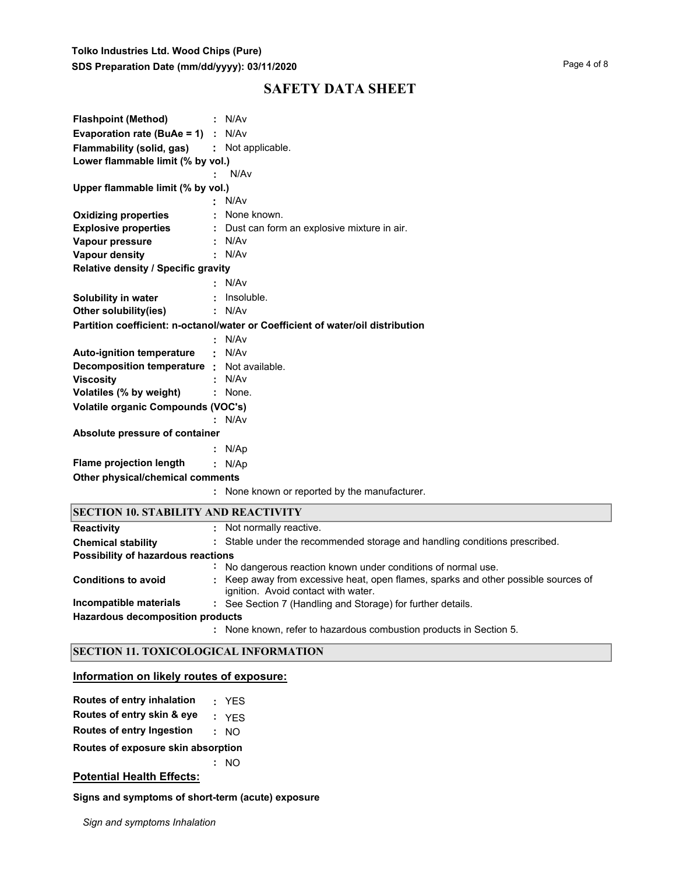| <b>Flashpoint (Method)</b>                  | : N/Av                                                                          |
|---------------------------------------------|---------------------------------------------------------------------------------|
| <b>Evaporation rate (BuAe = 1)</b> : $N/Av$ |                                                                                 |
| <b>Flammability (solid, gas)</b>            | : Not applicable.                                                               |
| Lower flammable limit (% by vol.)           |                                                                                 |
|                                             | N/Av                                                                            |
| Upper flammable limit (% by vol.)           |                                                                                 |
|                                             | N/Av                                                                            |
| <b>Oxidizing properties</b>                 | None known.                                                                     |
| <b>Explosive properties</b>                 | Dust can form an explosive mixture in air.                                      |
| Vapour pressure                             | N/Av                                                                            |
| <b>Vapour density</b>                       | N/Av                                                                            |
| Relative density / Specific gravity         |                                                                                 |
|                                             | N/Av                                                                            |
| Solubility in water                         | Insoluble.                                                                      |
| Other solubility(ies)                       | N/Av                                                                            |
|                                             | Partition coefficient: n-octanol/water or Coefficient of water/oil distribution |
|                                             | : N/Av                                                                          |
| <b>Auto-ignition temperature</b>            | : N/Av                                                                          |
| Decomposition temperature : Not available.  |                                                                                 |
| <b>Viscosity</b>                            | N/Av                                                                            |
| Volatiles (% by weight)                     | : None.                                                                         |
| Volatile organic Compounds (VOC's)          |                                                                                 |
|                                             | N/Av                                                                            |
| Absolute pressure of container              |                                                                                 |
|                                             | : $N/Ap$                                                                        |
| <b>Flame projection length</b>              | : N/Ap                                                                          |
| Other physical/chemical comments            |                                                                                 |
|                                             | None known or reported by the manufacturer.                                     |
| <b>SECTION 10. STABILITY AND REACTIVITY</b> |                                                                                 |
| <b>Reactivity</b>                           | Not normally reactive.                                                          |
| <b>Chemical stability</b>                   | : Stable under the recommended storage and handling conditions prescribed.      |
| Doceibility of hazardous roactions.         |                                                                                 |

| Possibility of hazardous reactions |  |                                                                                                                           |  |  |
|------------------------------------|--|---------------------------------------------------------------------------------------------------------------------------|--|--|
|                                    |  | No dangerous reaction known under conditions of normal use.                                                               |  |  |
| <b>Conditions to avoid</b>         |  | : Keep away from excessive heat, open flames, sparks and other possible sources of<br>ignition. Avoid contact with water. |  |  |
| Incompatible materials             |  | : See Section 7 (Handling and Storage) for further details.                                                               |  |  |
| Hazardous decomposition products   |  |                                                                                                                           |  |  |
|                                    |  | : None known, refer to hazardous combustion products in Section 5.                                                        |  |  |

## **SECTION 11. TOXICOLOGICAL INFORMATION**

## **Information on likely routes of exposure:**

| Routes of entry inhalation |  | <b>YES</b> |
|----------------------------|--|------------|
|----------------------------|--|------------|

**Routes of entry skin & eye :** YES

**Routes of entry Ingestion :** NO

**Routes of exposure skin absorption**

**:** NO

## **Potential Health Effects:**

**Signs and symptoms of short-term (acute) exposure** 

*Sign and symptoms Inhalation*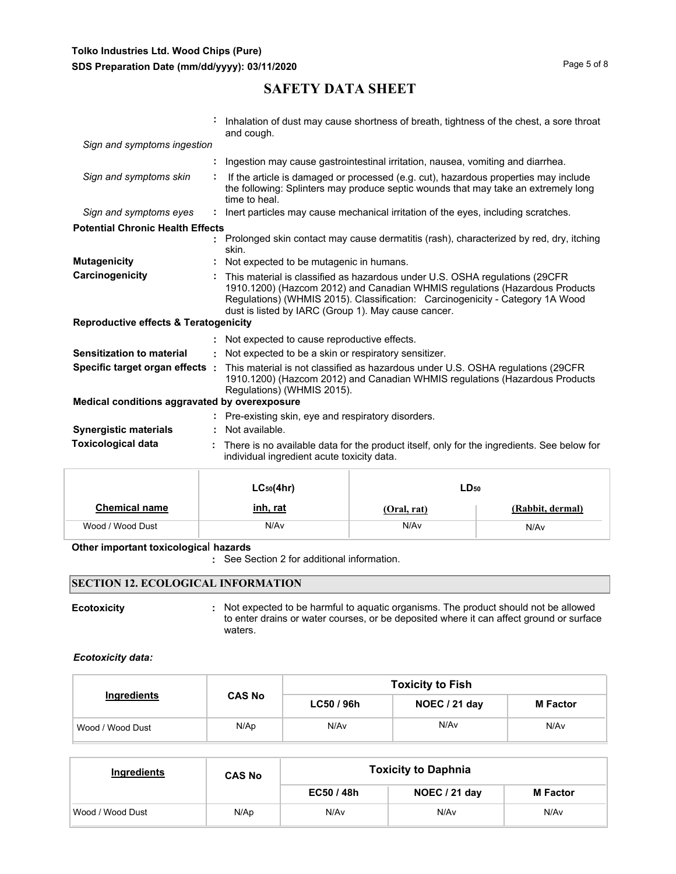|                                                  | Inhalation of dust may cause shortness of breath, tightness of the chest, a sore throat<br>and cough.                                                                                                                                                                                              |
|--------------------------------------------------|----------------------------------------------------------------------------------------------------------------------------------------------------------------------------------------------------------------------------------------------------------------------------------------------------|
| Sign and symptoms ingestion                      |                                                                                                                                                                                                                                                                                                    |
|                                                  | : Ingestion may cause gastrointestinal irritation, nausea, vomiting and diarrhea.                                                                                                                                                                                                                  |
| Sign and symptoms skin                           | If the article is damaged or processed (e.g. cut), hazardous properties may include<br>the following: Splinters may produce septic wounds that may take an extremely long<br>time to heal.                                                                                                         |
| Sign and symptoms eyes                           | : Inert particles may cause mechanical irritation of the eyes, including scratches.                                                                                                                                                                                                                |
| <b>Potential Chronic Health Effects</b>          |                                                                                                                                                                                                                                                                                                    |
|                                                  | : Prolonged skin contact may cause dermatitis (rash), characterized by red, dry, itching<br>skin.                                                                                                                                                                                                  |
| <b>Mutagenicity</b>                              | : Not expected to be mutagenic in humans.                                                                                                                                                                                                                                                          |
| Carcinogenicity                                  | This material is classified as hazardous under U.S. OSHA regulations (29CFR<br>1910.1200) (Hazcom 2012) and Canadian WHMIS regulations (Hazardous Products<br>Regulations) (WHMIS 2015). Classification: Carcinogenicity - Category 1A Wood<br>dust is listed by IARC (Group 1). May cause cancer. |
| <b>Reproductive effects &amp; Teratogenicity</b> |                                                                                                                                                                                                                                                                                                    |
|                                                  | : Not expected to cause reproductive effects.                                                                                                                                                                                                                                                      |
| <b>Sensitization to material</b>                 | : Not expected to be a skin or respiratory sensitizer.                                                                                                                                                                                                                                             |
| Specific target organ effects :                  | This material is not classified as hazardous under U.S. OSHA regulations (29CFR)<br>1910.1200) (Hazcom 2012) and Canadian WHMIS regulations (Hazardous Products<br>Regulations) (WHMIS 2015).                                                                                                      |
| Medical conditions aggravated by overexposure    |                                                                                                                                                                                                                                                                                                    |
|                                                  | : Pre-existing skin, eye and respiratory disorders.                                                                                                                                                                                                                                                |
| <b>Synergistic materials</b>                     | Not available.                                                                                                                                                                                                                                                                                     |
| <b>Toxicological data</b>                        | There is no available data for the product itself, only for the ingredients. See below for                                                                                                                                                                                                         |

| individual ingredient acute toxicity data. |                 |             |                  |  |  |
|--------------------------------------------|-----------------|-------------|------------------|--|--|
| $LC_{50}(4hr)$<br>LD <sub>50</sub>         |                 |             |                  |  |  |
| <b>Chemical name</b>                       | <u>inh, rat</u> | (Oral, rat) | (Rabbit, dermal) |  |  |
| Wood / Wood Dust                           | N/Av            | N/Av        | N/Av             |  |  |

### **Other important toxicologica**l **hazards**

**:** See Section 2 for additional information.

## **SECTION 12. ECOLOGICAL INFORMATION**

**Ecotoxicity Example 20 CON**: Not expected to be harmful to aquatic organisms. The product should not be allowed to enter drains or water courses, or be deposited where it can affect ground or surface waters.

### *Ecotoxicity data:*

|                  |               |                          | <b>Toxicity to Fish</b> |                 |
|------------------|---------------|--------------------------|-------------------------|-----------------|
| Ingredients      | <b>CAS No</b> | LC50 / 96h               | NOEC / 21 day           | <b>M</b> Factor |
| Wood / Wood Dust | N/Ap          | N/Av<br>N/A <sub>v</sub> |                         | N/Av            |

| Ingredients      | <b>CAS No</b> | <b>Toxicity to Daphnia</b> |               |                 |
|------------------|---------------|----------------------------|---------------|-----------------|
|                  |               |                            | NOEC / 21 day | <b>M</b> Factor |
| Wood / Wood Dust | N/Ap          | N/Av                       | N/Av          | N/Av            |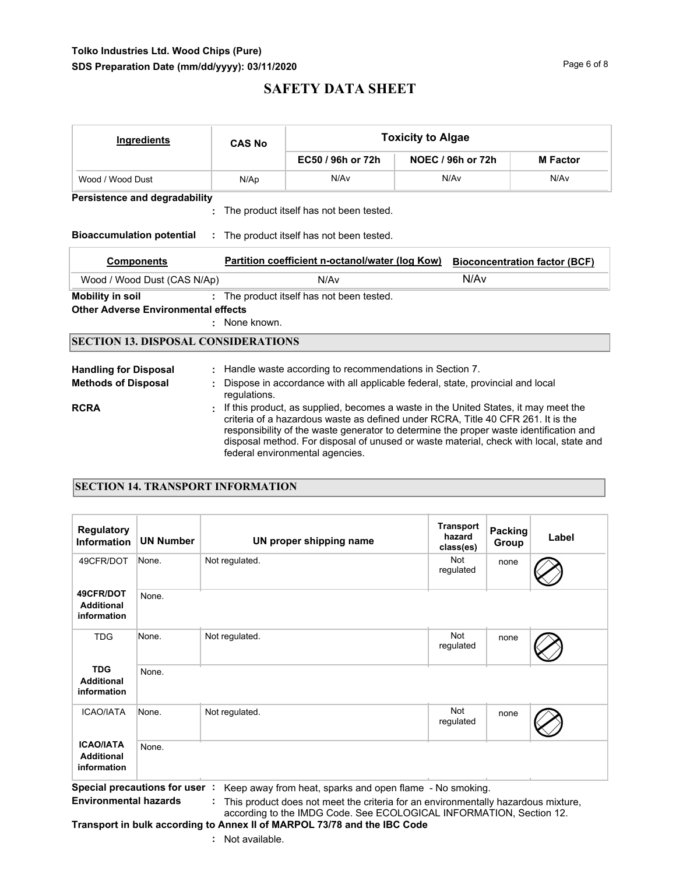## **Tolko Industries Ltd. Wood Chips (Pure) SDS Preparation Date (mm/dd/yyyy): 03/11/2020 Page 6 of 8** Page 6 of 8

# **SAFETY DATA SHEET**

| <b>Ingredients</b>                         | <b>CAS No</b> |                                                                                                                                                                                                                                                                                                                                                                                                | <b>Toxicity to Algae</b> |                 |  |  |  |  |  |
|--------------------------------------------|---------------|------------------------------------------------------------------------------------------------------------------------------------------------------------------------------------------------------------------------------------------------------------------------------------------------------------------------------------------------------------------------------------------------|--------------------------|-----------------|--|--|--|--|--|
|                                            |               | EC50 / 96h or 72h                                                                                                                                                                                                                                                                                                                                                                              | NOEC / 96h or 72h        | <b>M</b> Factor |  |  |  |  |  |
| Wood / Wood Dust                           | N/Ap          | N/Av                                                                                                                                                                                                                                                                                                                                                                                           | N/Av                     | N/Av            |  |  |  |  |  |
| <b>Persistence and degradability</b>       |               |                                                                                                                                                                                                                                                                                                                                                                                                |                          |                 |  |  |  |  |  |
|                                            |               | The product itself has not been tested.                                                                                                                                                                                                                                                                                                                                                        |                          |                 |  |  |  |  |  |
| <b>Bioaccumulation potential</b>           |               | : The product itself has not been tested.                                                                                                                                                                                                                                                                                                                                                      |                          |                 |  |  |  |  |  |
| <b>Components</b>                          |               | Partition coefficient n-octanol/water (log Kow)<br><b>Bioconcentration factor (BCF)</b>                                                                                                                                                                                                                                                                                                        |                          |                 |  |  |  |  |  |
| Wood / Wood Dust (CAS N/Ap)                |               | N/A <sub>v</sub>                                                                                                                                                                                                                                                                                                                                                                               | N/A <sub>v</sub>         |                 |  |  |  |  |  |
| <b>Mobility in soil</b>                    |               | : The product itself has not been tested.                                                                                                                                                                                                                                                                                                                                                      |                          |                 |  |  |  |  |  |
| <b>Other Adverse Environmental effects</b> |               |                                                                                                                                                                                                                                                                                                                                                                                                |                          |                 |  |  |  |  |  |
|                                            | : None known. |                                                                                                                                                                                                                                                                                                                                                                                                |                          |                 |  |  |  |  |  |
| <b>SECTION 13. DISPOSAL CONSIDERATIONS</b> |               |                                                                                                                                                                                                                                                                                                                                                                                                |                          |                 |  |  |  |  |  |
| <b>Handling for Disposal</b>               |               | Handle waste according to recommendations in Section 7.                                                                                                                                                                                                                                                                                                                                        |                          |                 |  |  |  |  |  |
| <b>Methods of Disposal</b>                 |               | Dispose in accordance with all applicable federal, state, provincial and local<br>requlations.                                                                                                                                                                                                                                                                                                 |                          |                 |  |  |  |  |  |
| <b>RCRA</b>                                |               | If this product, as supplied, becomes a waste in the United States, it may meet the<br>criteria of a hazardous waste as defined under RCRA, Title 40 CFR 261. It is the<br>responsibility of the waste generator to determine the proper waste identification and<br>disposal method. For disposal of unused or waste material, check with local, state and<br>federal environmental agencies. |                          |                 |  |  |  |  |  |

## **SECTION 14. TRANSPORT INFORMATION**

| Regulatory<br><b>Information</b>                     | <b>UN Number</b>           | UN proper shipping name | <b>Transport</b><br>hazard<br>class(es) | Packing<br>Group | Label |
|------------------------------------------------------|----------------------------|-------------------------|-----------------------------------------|------------------|-------|
| 49CFR/DOT                                            | None.                      | Not regulated.          | Not<br>regulated                        | none             |       |
| 49CFR/DOT<br><b>Additional</b><br>information        | None.                      |                         |                                         |                  |       |
| <b>TDG</b>                                           | None.                      | Not regulated.          | <b>Not</b><br>regulated                 | none             |       |
| <b>TDG</b><br><b>Additional</b><br>information       | None.                      |                         |                                         |                  |       |
| <b>ICAO/IATA</b>                                     | None.                      | Not regulated.          | Not<br>regulated                        | none             |       |
| <b>ICAO/IATA</b><br><b>Additional</b><br>information | None.<br>$\epsilon$<br>. . |                         |                                         |                  |       |

**Special precautions for user :** Keep away from heat, sparks and open flame - No smoking. **Environmental hazards :** This product does not meet the criteria for an environmentally hazardous mixture,

according to the IMDG Code. See ECOLOGICAL INFORMATION, Section 12. **Transport in bulk according to Annex II of MARPOL 73/78 and the IBC Code**

**:** Not available.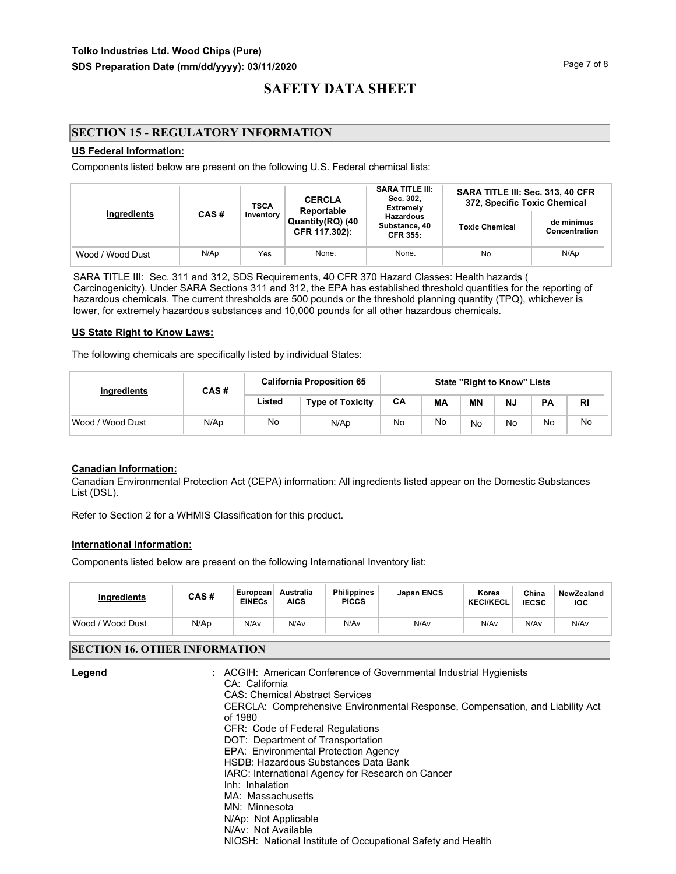## **SECTION 15 - REGULATORY INFORMATION**

### **US Federal Information:**

Components listed below are present on the following U.S. Federal chemical lists:

| <b>TSCA</b><br>Ingredients<br>CAS#<br>Inventory |                                   |                                                      | <b>CERCLA</b><br>Reportable | <b>SARA TITLE III:</b><br>Sec. 302,<br><b>Extremely</b> | SARA TITLE III: Sec. 313, 40 CFR<br>372, Specific Toxic Chemical |      |  |
|-------------------------------------------------|-----------------------------------|------------------------------------------------------|-----------------------------|---------------------------------------------------------|------------------------------------------------------------------|------|--|
|                                                 | Quantity(RQ) (40<br>CFR 117.302): | <b>Hazardous</b><br>Substance, 40<br><b>CFR 355:</b> | <b>Toxic Chemical</b>       | de minimus<br>Concentration                             |                                                                  |      |  |
| Wood / Wood Dust                                | N/Ap                              | Yes                                                  | None.                       | None.                                                   | No                                                               | N/Ap |  |

SARA TITLE III: Sec. 311 and 312, SDS Requirements, 40 CFR 370 Hazard Classes: Health hazards ( Carcinogenicity). Under SARA Sections 311 and 312, the EPA has established threshold quantities for the reporting of hazardous chemicals. The current thresholds are 500 pounds or the threshold planning quantity (TPQ), whichever is lower, for extremely hazardous substances and 10,000 pounds for all other hazardous chemicals.

#### **US State Right to Know Laws:**

The following chemicals are specifically listed by individual States:

| Ingredients      | CAS# | <b>California Proposition 65</b> |                         | <b>State "Right to Know" Lists</b> |    |           |    |           |           |
|------------------|------|----------------------------------|-------------------------|------------------------------------|----|-----------|----|-----------|-----------|
|                  |      | Listed                           | <b>Type of Toxicity</b> | CA                                 | MА | <b>MN</b> | N. | <b>PA</b> | <b>RI</b> |
| Wood / Wood Dust | N/Ap | No                               | N/Ap                    | No                                 | No | No        | No | No        | No        |

### **Canadian Information:**

Canadian Environmental Protection Act (CEPA) information: All ingredients listed appear on the Domestic Substances List (DSL).

Refer to Section 2 for a WHMIS Classification for this product.

### **International Information:**

Components listed below are present on the following International Inventory list:

| <b>Ingredients</b>  | CAS# | European<br><b>EINECs</b> | Australia<br><b>AICS</b> | <b>Philippines</b><br><b>PICCS</b> | <b>Japan ENCS</b> | Korea<br><b>KECI/KECL</b> | China<br><b>IECSC</b> | NewZealand<br><b>IOC</b> |
|---------------------|------|---------------------------|--------------------------|------------------------------------|-------------------|---------------------------|-----------------------|--------------------------|
| Wood /<br>Wood Dust | N/Ap | N/Av                      | N/Av                     | N/Av                               | N/Av              | N/Av                      | N/Av                  | N/Av                     |

### **SECTION 16. OTHER INFORMATION**

| Legend | : ACGIH: American Conference of Governmental Industrial Hygienists            |
|--------|-------------------------------------------------------------------------------|
|        | CA: California                                                                |
|        | <b>CAS: Chemical Abstract Services</b>                                        |
|        | CERCLA: Comprehensive Environmental Response, Compensation, and Liability Act |
|        | of 1980                                                                       |
|        | CFR: Code of Federal Regulations                                              |
|        | DOT: Department of Transportation                                             |
|        | EPA: Environmental Protection Agency                                          |
|        | HSDB: Hazardous Substances Data Bank                                          |
|        | IARC: International Agency for Research on Cancer                             |
|        | Inh: Inhalation                                                               |
|        | MA: Massachusetts                                                             |
|        | MN: Minnesota                                                                 |
|        | N/Ap: Not Applicable                                                          |
|        | N/Av: Not Available                                                           |
|        | NIOSH: National Institute of Occupational Safety and Health                   |